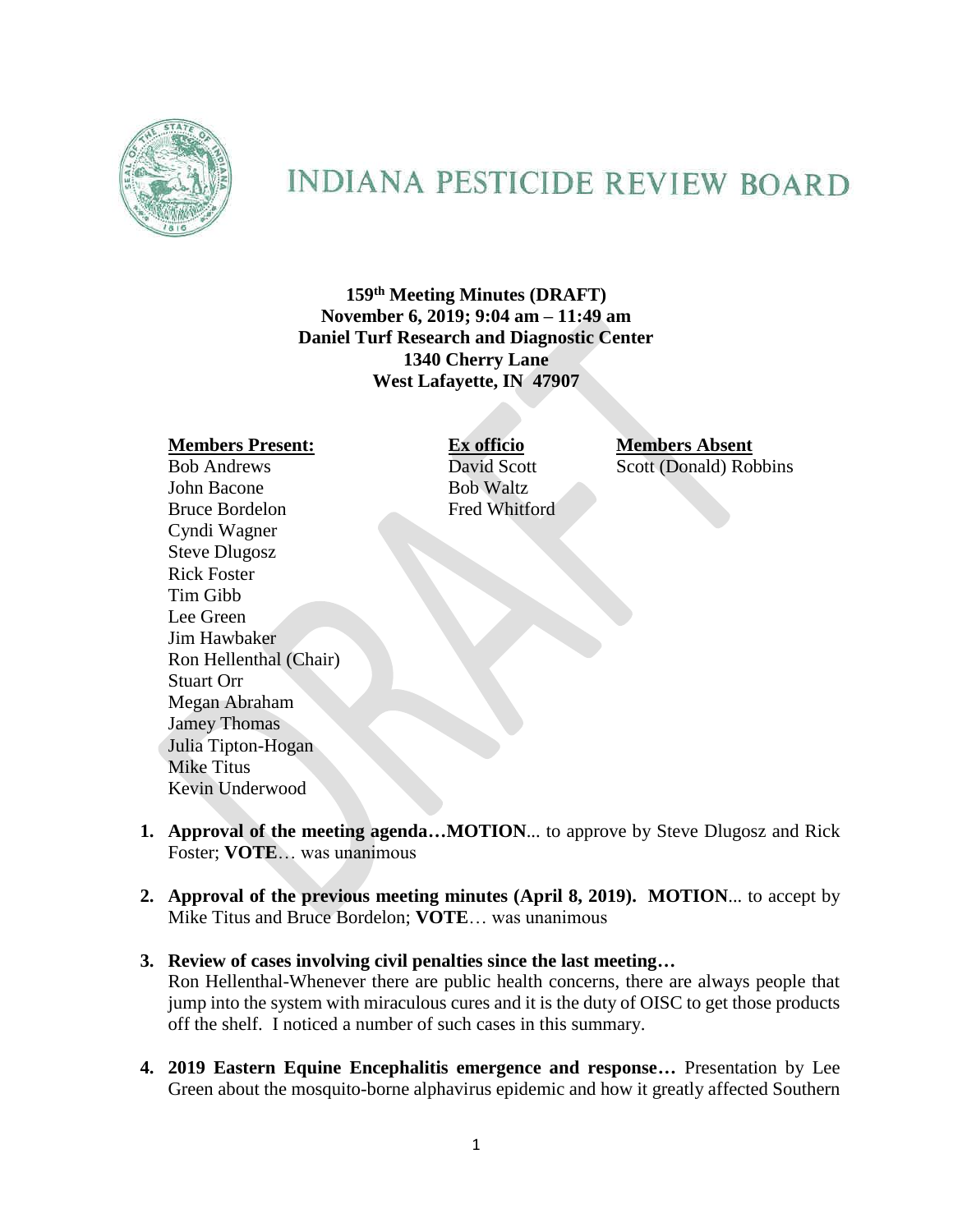

# **INDIANA PESTICIDE REVIEW BOARD**

**159 th Meeting Minutes (DRAFT) November 6, 2019; 9:04 am – 11:49 am Daniel Turf Research and Diagnostic Center 1340 Cherry Lane West Lafayette, IN 47907**

**Members Present: Ex officio Members Absent** Bob Andrews David Scott Scott (Donald) Robbins John Bacone Bob Waltz Bruce Bordelon Fred Whitford Cyndi Wagner Steve Dlugosz Rick Foster Tim Gibb Lee Green Jim Hawbaker Ron Hellenthal (Chair) Stuart Orr Megan Abraham Jamey Thomas Julia Tipton-Hogan Mike Titus Kevin Underwood

- **1. Approval of the meeting agenda…MOTION**... to approve by Steve Dlugosz and Rick Foster; **VOTE**… was unanimous
- **2. Approval of the previous meeting minutes (April 8, 2019). MOTION**... to accept by Mike Titus and Bruce Bordelon; **VOTE**… was unanimous

## **3. Review of cases involving civil penalties since the last meeting…**

Ron Hellenthal-Whenever there are public health concerns, there are always people that jump into the system with miraculous cures and it is the duty of OISC to get those products off the shelf. I noticed a number of such cases in this summary.

**4. 2019 Eastern Equine Encephalitis emergence and response…** Presentation by Lee Green about the mosquito-borne alphavirus epidemic and how it greatly affected Southern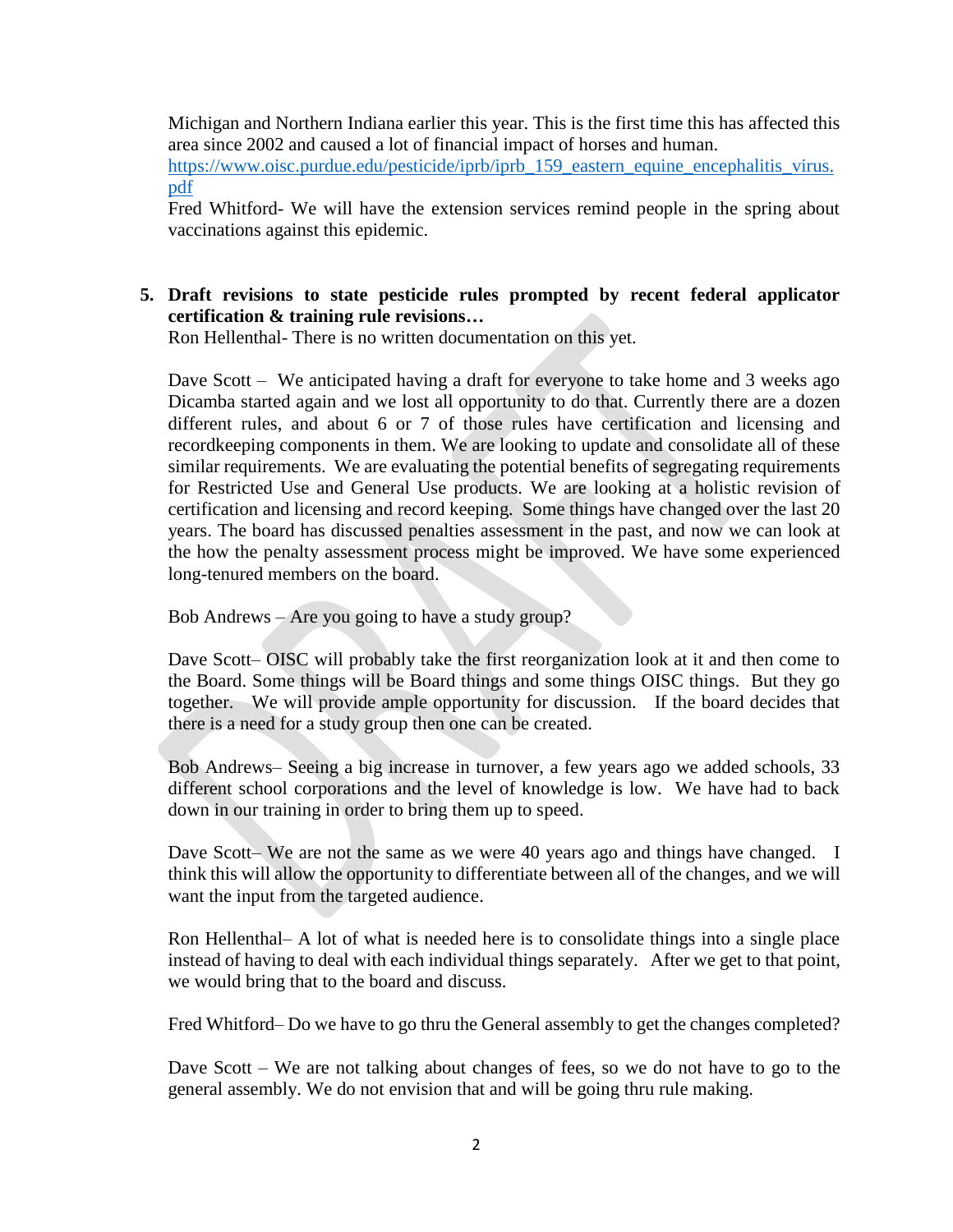Michigan and Northern Indiana earlier this year. This is the first time this has affected this area since 2002 and caused a lot of financial impact of horses and human.

[https://www.oisc.purdue.edu/pesticide/iprb/iprb\\_159\\_eastern\\_equine\\_encephalitis\\_virus.](https://www.oisc.purdue.edu/pesticide/iprb/iprb_159_eastern_equine_encephalitis_virus.pdf) [pdf](https://www.oisc.purdue.edu/pesticide/iprb/iprb_159_eastern_equine_encephalitis_virus.pdf)

Fred Whitford- We will have the extension services remind people in the spring about vaccinations against this epidemic.

# **5. Draft revisions to state pesticide rules prompted by recent federal applicator certification & training rule revisions…**

Ron Hellenthal- There is no written documentation on this yet.

Dave Scott – We anticipated having a draft for everyone to take home and 3 weeks ago Dicamba started again and we lost all opportunity to do that. Currently there are a dozen different rules, and about 6 or 7 of those rules have certification and licensing and recordkeeping components in them. We are looking to update and consolidate all of these similar requirements. We are evaluating the potential benefits of segregating requirements for Restricted Use and General Use products. We are looking at a holistic revision of certification and licensing and record keeping. Some things have changed over the last 20 years. The board has discussed penalties assessment in the past, and now we can look at the how the penalty assessment process might be improved. We have some experienced long-tenured members on the board.

Bob Andrews – Are you going to have a study group?

Dave Scott– OISC will probably take the first reorganization look at it and then come to the Board. Some things will be Board things and some things OISC things. But they go together. We will provide ample opportunity for discussion. If the board decides that there is a need for a study group then one can be created.

Bob Andrews– Seeing a big increase in turnover, a few years ago we added schools, 33 different school corporations and the level of knowledge is low. We have had to back down in our training in order to bring them up to speed.

Dave Scott– We are not the same as we were 40 years ago and things have changed. I think this will allow the opportunity to differentiate between all of the changes, and we will want the input from the targeted audience.

Ron Hellenthal– A lot of what is needed here is to consolidate things into a single place instead of having to deal with each individual things separately. After we get to that point, we would bring that to the board and discuss.

Fred Whitford– Do we have to go thru the General assembly to get the changes completed?

Dave Scott – We are not talking about changes of fees, so we do not have to go to the general assembly. We do not envision that and will be going thru rule making.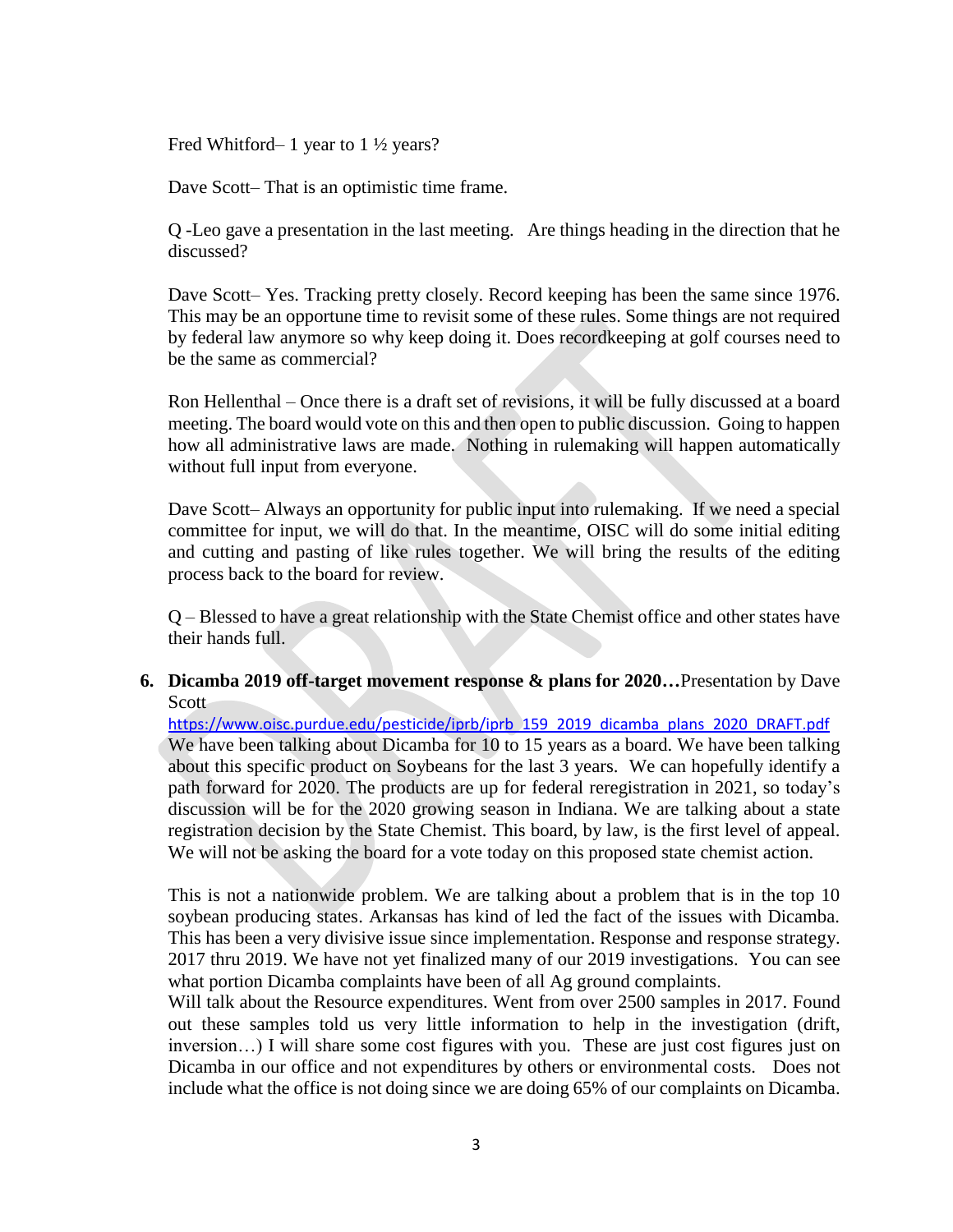Fred Whitford– 1 year to 1 ½ years?

Dave Scott– That is an optimistic time frame.

Q -Leo gave a presentation in the last meeting. Are things heading in the direction that he discussed?

Dave Scott– Yes. Tracking pretty closely. Record keeping has been the same since 1976. This may be an opportune time to revisit some of these rules. Some things are not required by federal law anymore so why keep doing it. Does recordkeeping at golf courses need to be the same as commercial?

Ron Hellenthal – Once there is a draft set of revisions, it will be fully discussed at a board meeting. The board would vote on this and then open to public discussion. Going to happen how all administrative laws are made. Nothing in rulemaking will happen automatically without full input from everyone.

Dave Scott– Always an opportunity for public input into rulemaking. If we need a special committee for input, we will do that. In the meantime, OISC will do some initial editing and cutting and pasting of like rules together. We will bring the results of the editing process back to the board for review.

Q – Blessed to have a great relationship with the State Chemist office and other states have their hands full.

## **6. Dicamba 2019 off-target movement response & plans for 2020…**Presentation by Dave **Scott**

[https://www.oisc.purdue.edu/pesticide/iprb/iprb\\_159\\_2019\\_dicamba\\_plans\\_2020\\_DRAFT.pdf](https://www.oisc.purdue.edu/pesticide/iprb/iprb_159_2019_dicamba_plans_2020_DRAFT.pdf) We have been talking about Dicamba for 10 to 15 years as a board. We have been talking about this specific product on Soybeans for the last 3 years. We can hopefully identify a path forward for 2020. The products are up for federal reregistration in 2021, so today's discussion will be for the 2020 growing season in Indiana. We are talking about a state registration decision by the State Chemist. This board, by law, is the first level of appeal. We will not be asking the board for a vote today on this proposed state chemist action.

This is not a nationwide problem. We are talking about a problem that is in the top 10 soybean producing states. Arkansas has kind of led the fact of the issues with Dicamba. This has been a very divisive issue since implementation. Response and response strategy. 2017 thru 2019. We have not yet finalized many of our 2019 investigations. You can see what portion Dicamba complaints have been of all Ag ground complaints.

Will talk about the Resource expenditures. Went from over 2500 samples in 2017. Found out these samples told us very little information to help in the investigation (drift, inversion…) I will share some cost figures with you. These are just cost figures just on Dicamba in our office and not expenditures by others or environmental costs. Does not include what the office is not doing since we are doing 65% of our complaints on Dicamba.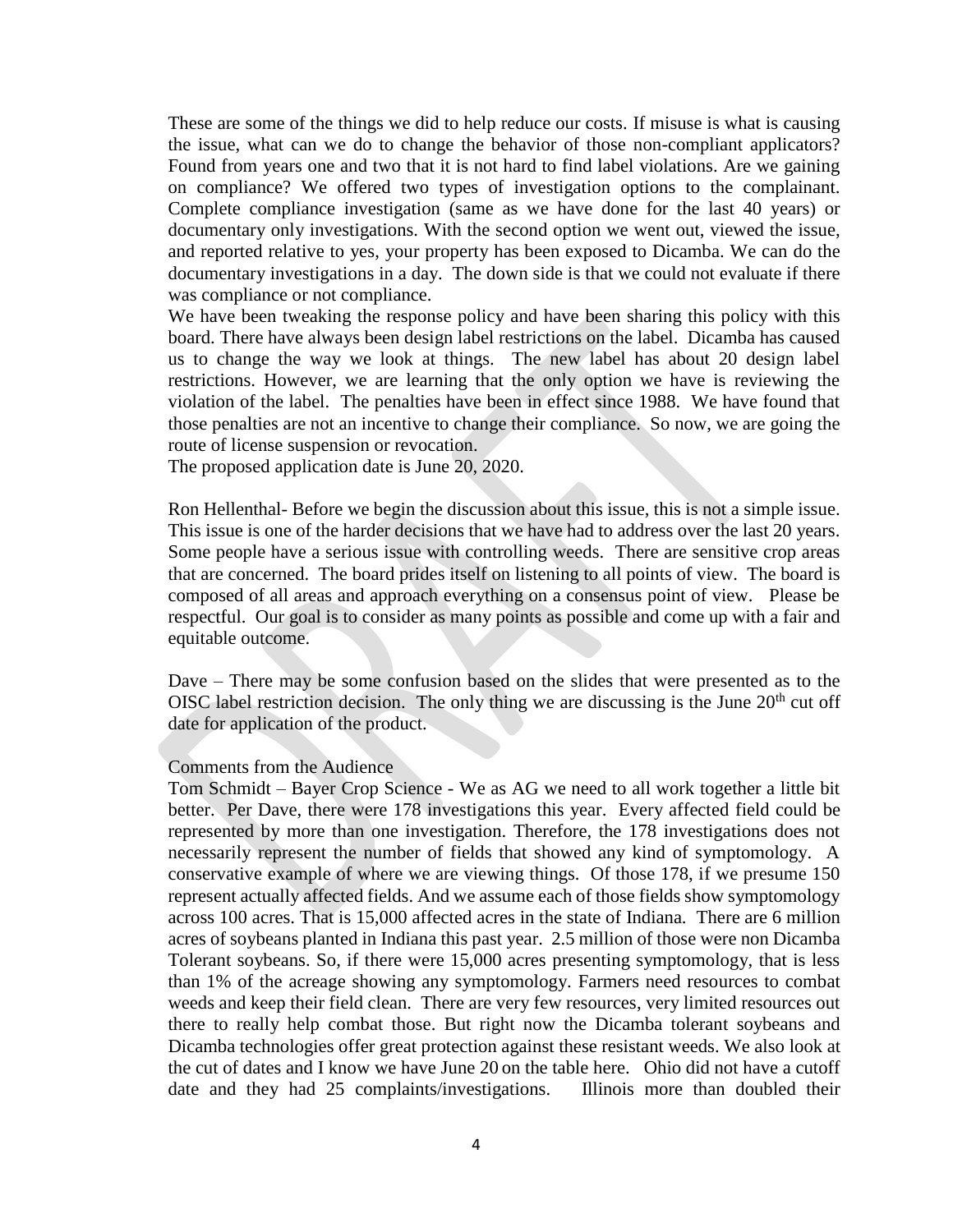These are some of the things we did to help reduce our costs. If misuse is what is causing the issue, what can we do to change the behavior of those non-compliant applicators? Found from years one and two that it is not hard to find label violations. Are we gaining on compliance? We offered two types of investigation options to the complainant. Complete compliance investigation (same as we have done for the last 40 years) or documentary only investigations. With the second option we went out, viewed the issue, and reported relative to yes, your property has been exposed to Dicamba. We can do the documentary investigations in a day. The down side is that we could not evaluate if there was compliance or not compliance.

We have been tweaking the response policy and have been sharing this policy with this board. There have always been design label restrictions on the label. Dicamba has caused us to change the way we look at things. The new label has about 20 design label restrictions. However, we are learning that the only option we have is reviewing the violation of the label. The penalties have been in effect since 1988. We have found that those penalties are not an incentive to change their compliance. So now, we are going the route of license suspension or revocation.

The proposed application date is June 20, 2020.

Ron Hellenthal- Before we begin the discussion about this issue, this is not a simple issue. This issue is one of the harder decisions that we have had to address over the last 20 years. Some people have a serious issue with controlling weeds. There are sensitive crop areas that are concerned. The board prides itself on listening to all points of view. The board is composed of all areas and approach everything on a consensus point of view. Please be respectful. Our goal is to consider as many points as possible and come up with a fair and equitable outcome.

Dave – There may be some confusion based on the slides that were presented as to the OISC label restriction decision. The only thing we are discussing is the June  $20<sup>th</sup>$  cut off date for application of the product.

#### Comments from the Audience

Tom Schmidt – Bayer Crop Science - We as AG we need to all work together a little bit better. Per Dave, there were 178 investigations this year. Every affected field could be represented by more than one investigation. Therefore, the 178 investigations does not necessarily represent the number of fields that showed any kind of symptomology. A conservative example of where we are viewing things. Of those 178, if we presume 150 represent actually affected fields. And we assume each of those fields show symptomology across 100 acres. That is 15,000 affected acres in the state of Indiana. There are 6 million acres of soybeans planted in Indiana this past year. 2.5 million of those were non Dicamba Tolerant soybeans. So, if there were 15,000 acres presenting symptomology, that is less than 1% of the acreage showing any symptomology. Farmers need resources to combat weeds and keep their field clean. There are very few resources, very limited resources out there to really help combat those. But right now the Dicamba tolerant soybeans and Dicamba technologies offer great protection against these resistant weeds. We also look at the cut of dates and I know we have June 20 on the table here. Ohio did not have a cutoff date and they had 25 complaints/investigations. Illinois more than doubled their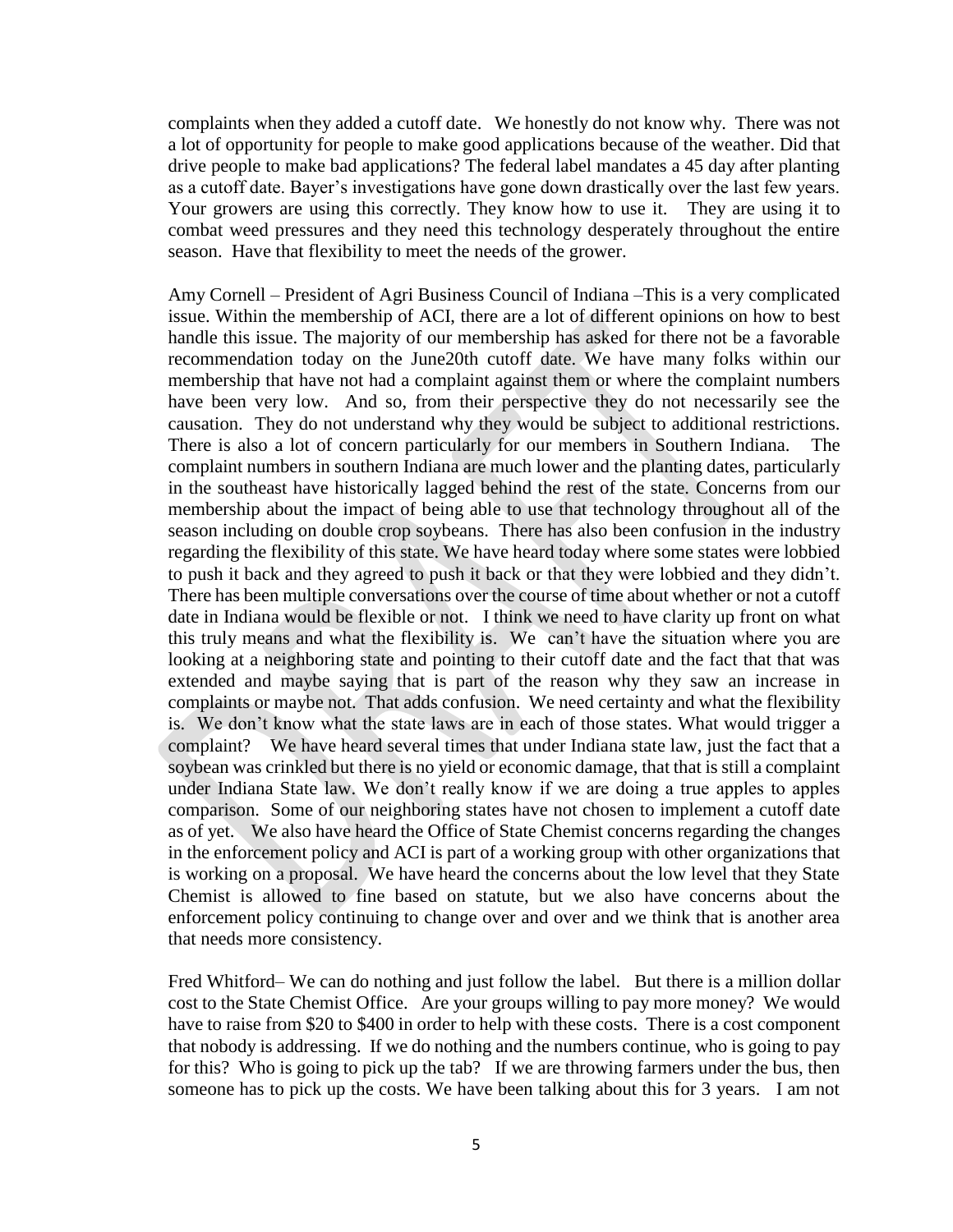complaints when they added a cutoff date. We honestly do not know why. There was not a lot of opportunity for people to make good applications because of the weather. Did that drive people to make bad applications? The federal label mandates a 45 day after planting as a cutoff date. Bayer's investigations have gone down drastically over the last few years. Your growers are using this correctly. They know how to use it. They are using it to combat weed pressures and they need this technology desperately throughout the entire season. Have that flexibility to meet the needs of the grower.

Amy Cornell – President of Agri Business Council of Indiana –This is a very complicated issue. Within the membership of ACI, there are a lot of different opinions on how to best handle this issue. The majority of our membership has asked for there not be a favorable recommendation today on the June20th cutoff date. We have many folks within our membership that have not had a complaint against them or where the complaint numbers have been very low. And so, from their perspective they do not necessarily see the causation. They do not understand why they would be subject to additional restrictions. There is also a lot of concern particularly for our members in Southern Indiana. The complaint numbers in southern Indiana are much lower and the planting dates, particularly in the southeast have historically lagged behind the rest of the state. Concerns from our membership about the impact of being able to use that technology throughout all of the season including on double crop soybeans. There has also been confusion in the industry regarding the flexibility of this state. We have heard today where some states were lobbied to push it back and they agreed to push it back or that they were lobbied and they didn't. There has been multiple conversations over the course of time about whether or not a cutoff date in Indiana would be flexible or not. I think we need to have clarity up front on what this truly means and what the flexibility is. We can't have the situation where you are looking at a neighboring state and pointing to their cutoff date and the fact that that was extended and maybe saying that is part of the reason why they saw an increase in complaints or maybe not. That adds confusion. We need certainty and what the flexibility is. We don't know what the state laws are in each of those states. What would trigger a complaint? We have heard several times that under Indiana state law, just the fact that a soybean was crinkled but there is no yield or economic damage, that that is still a complaint under Indiana State law. We don't really know if we are doing a true apples to apples comparison. Some of our neighboring states have not chosen to implement a cutoff date as of yet. We also have heard the Office of State Chemist concerns regarding the changes in the enforcement policy and ACI is part of a working group with other organizations that is working on a proposal. We have heard the concerns about the low level that they State Chemist is allowed to fine based on statute, but we also have concerns about the enforcement policy continuing to change over and over and we think that is another area that needs more consistency.

Fred Whitford– We can do nothing and just follow the label. But there is a million dollar cost to the State Chemist Office. Are your groups willing to pay more money? We would have to raise from \$20 to \$400 in order to help with these costs. There is a cost component that nobody is addressing. If we do nothing and the numbers continue, who is going to pay for this? Who is going to pick up the tab? If we are throwing farmers under the bus, then someone has to pick up the costs. We have been talking about this for 3 years. I am not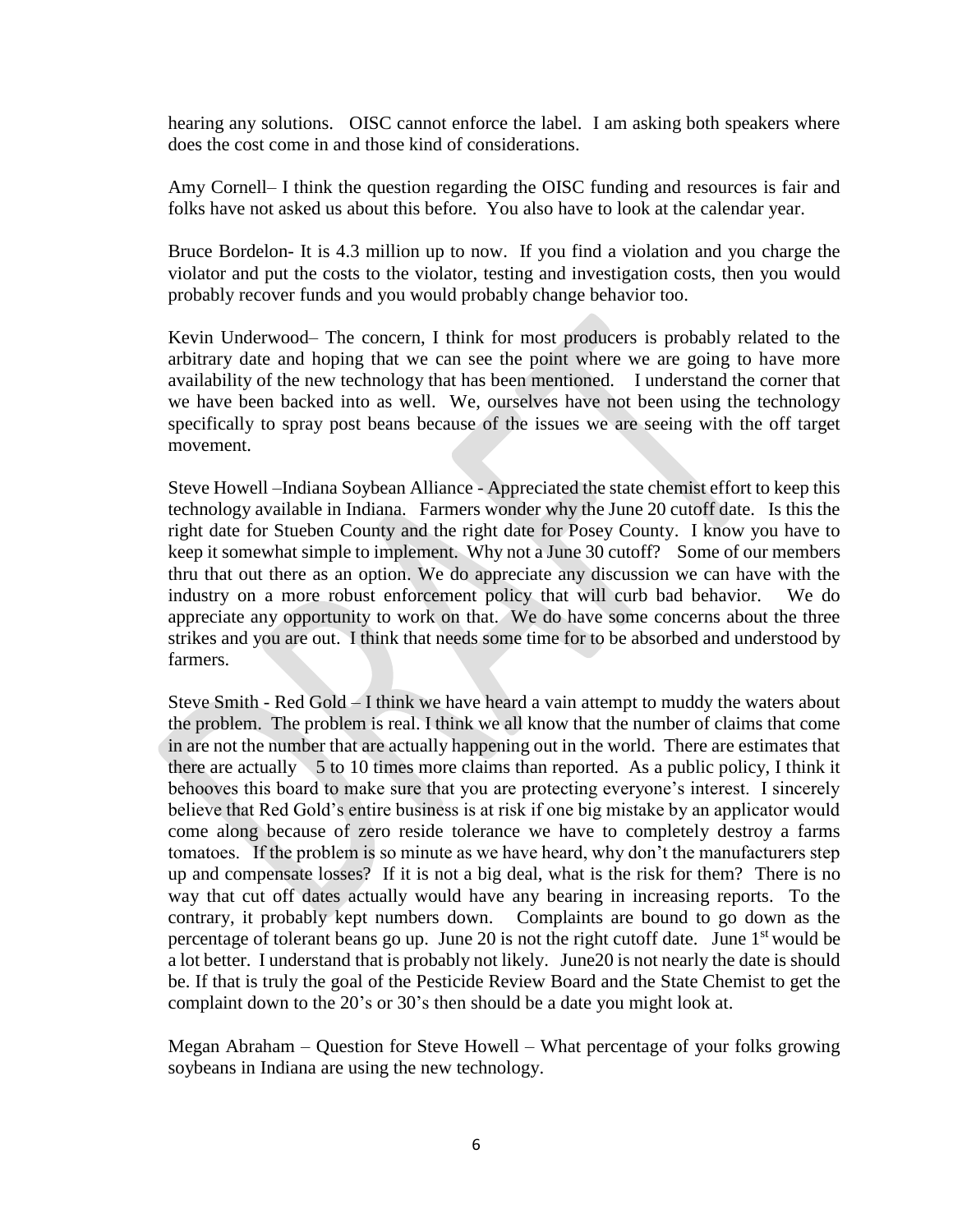hearing any solutions. OISC cannot enforce the label. I am asking both speakers where does the cost come in and those kind of considerations.

Amy Cornell– I think the question regarding the OISC funding and resources is fair and folks have not asked us about this before. You also have to look at the calendar year.

Bruce Bordelon- It is 4.3 million up to now. If you find a violation and you charge the violator and put the costs to the violator, testing and investigation costs, then you would probably recover funds and you would probably change behavior too.

Kevin Underwood– The concern, I think for most producers is probably related to the arbitrary date and hoping that we can see the point where we are going to have more availability of the new technology that has been mentioned. I understand the corner that we have been backed into as well. We, ourselves have not been using the technology specifically to spray post beans because of the issues we are seeing with the off target movement.

Steve Howell –Indiana Soybean Alliance - Appreciated the state chemist effort to keep this technology available in Indiana. Farmers wonder why the June 20 cutoff date. Is this the right date for Stueben County and the right date for Posey County. I know you have to keep it somewhat simple to implement. Why not a June 30 cutoff? Some of our members thru that out there as an option. We do appreciate any discussion we can have with the industry on a more robust enforcement policy that will curb bad behavior. We do appreciate any opportunity to work on that. We do have some concerns about the three strikes and you are out. I think that needs some time for to be absorbed and understood by farmers.

Steve Smith - Red Gold – I think we have heard a vain attempt to muddy the waters about the problem. The problem is real. I think we all know that the number of claims that come in are not the number that are actually happening out in the world. There are estimates that there are actually  $\frac{1}{5}$  to 10 times more claims than reported. As a public policy, I think it behooves this board to make sure that you are protecting everyone's interest. I sincerely believe that Red Gold's entire business is at risk if one big mistake by an applicator would come along because of zero reside tolerance we have to completely destroy a farms tomatoes. If the problem is so minute as we have heard, why don't the manufacturers step up and compensate losses? If it is not a big deal, what is the risk for them? There is no way that cut off dates actually would have any bearing in increasing reports. To the contrary, it probably kept numbers down. Complaints are bound to go down as the percentage of tolerant beans go up. June 20 is not the right cutoff date. June  $1<sup>st</sup>$  would be a lot better. I understand that is probably not likely. June20 is not nearly the date is should be. If that is truly the goal of the Pesticide Review Board and the State Chemist to get the complaint down to the 20's or 30's then should be a date you might look at.

Megan Abraham – Question for Steve Howell – What percentage of your folks growing soybeans in Indiana are using the new technology.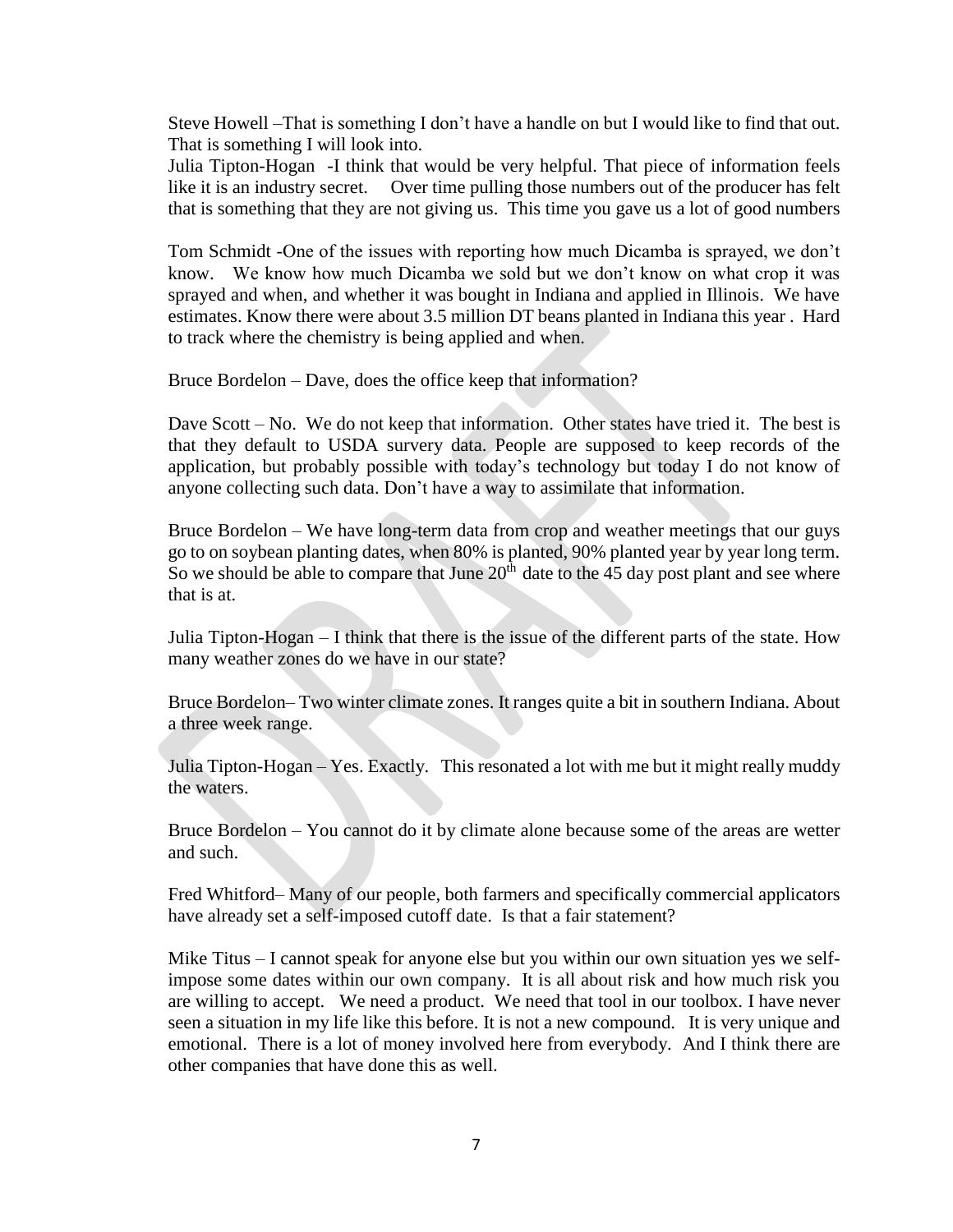Steve Howell –That is something I don't have a handle on but I would like to find that out. That is something I will look into.

Julia Tipton-Hogan -I think that would be very helpful. That piece of information feels like it is an industry secret. Over time pulling those numbers out of the producer has felt that is something that they are not giving us. This time you gave us a lot of good numbers

Tom Schmidt -One of the issues with reporting how much Dicamba is sprayed, we don't know. We know how much Dicamba we sold but we don't know on what crop it was sprayed and when, and whether it was bought in Indiana and applied in Illinois. We have estimates. Know there were about 3.5 million DT beans planted in Indiana this year . Hard to track where the chemistry is being applied and when.

Bruce Bordelon – Dave, does the office keep that information?

Dave Scott – No. We do not keep that information. Other states have tried it. The best is that they default to USDA survery data. People are supposed to keep records of the application, but probably possible with today's technology but today I do not know of anyone collecting such data. Don't have a way to assimilate that information.

Bruce Bordelon – We have long-term data from crop and weather meetings that our guys go to on soybean planting dates, when 80% is planted, 90% planted year by year long term. So we should be able to compare that June  $20<sup>th</sup>$  date to the  $45$  day post plant and see where that is at.

Julia Tipton-Hogan – I think that there is the issue of the different parts of the state. How many weather zones do we have in our state?

Bruce Bordelon– Two winter climate zones. It ranges quite a bit in southern Indiana. About a three week range.

Julia Tipton-Hogan – Yes. Exactly. This resonated a lot with me but it might really muddy the waters.

Bruce Bordelon – You cannot do it by climate alone because some of the areas are wetter and such.

Fred Whitford– Many of our people, both farmers and specifically commercial applicators have already set a self-imposed cutoff date. Is that a fair statement?

Mike Titus – I cannot speak for anyone else but you within our own situation yes we selfimpose some dates within our own company. It is all about risk and how much risk you are willing to accept. We need a product. We need that tool in our toolbox. I have never seen a situation in my life like this before. It is not a new compound. It is very unique and emotional. There is a lot of money involved here from everybody. And I think there are other companies that have done this as well.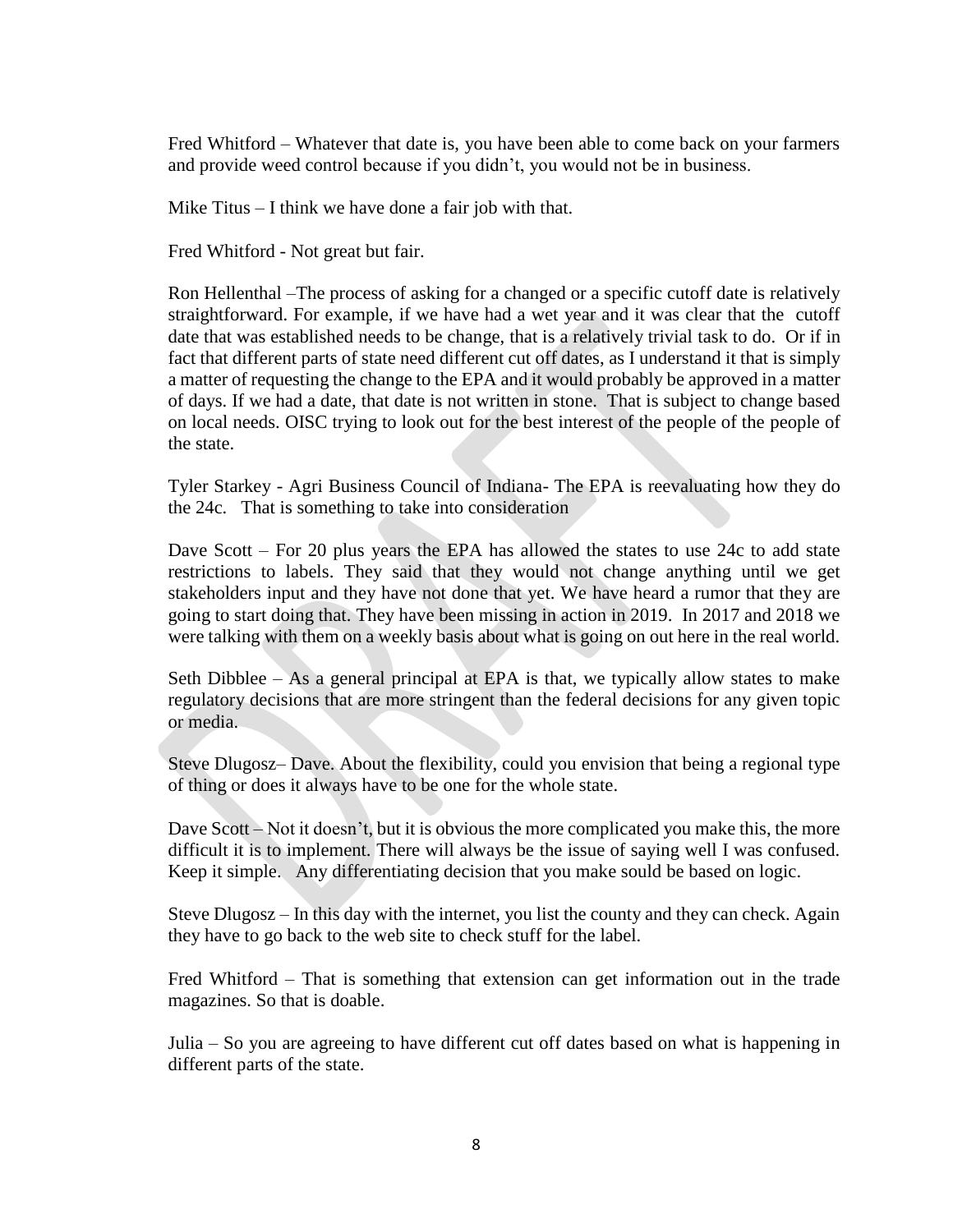Fred Whitford – Whatever that date is, you have been able to come back on your farmers and provide weed control because if you didn't, you would not be in business.

Mike Titus – I think we have done a fair job with that.

Fred Whitford - Not great but fair.

Ron Hellenthal –The process of asking for a changed or a specific cutoff date is relatively straightforward. For example, if we have had a wet year and it was clear that the cutoff date that was established needs to be change, that is a relatively trivial task to do. Or if in fact that different parts of state need different cut off dates, as I understand it that is simply a matter of requesting the change to the EPA and it would probably be approved in a matter of days. If we had a date, that date is not written in stone. That is subject to change based on local needs. OISC trying to look out for the best interest of the people of the people of the state.

Tyler Starkey - Agri Business Council of Indiana- The EPA is reevaluating how they do the 24c. That is something to take into consideration

Dave Scott – For 20 plus years the EPA has allowed the states to use 24c to add state restrictions to labels. They said that they would not change anything until we get stakeholders input and they have not done that yet. We have heard a rumor that they are going to start doing that. They have been missing in action in 2019. In 2017 and 2018 we were talking with them on a weekly basis about what is going on out here in the real world.

Seth Dibblee – As a general principal at EPA is that, we typically allow states to make regulatory decisions that are more stringent than the federal decisions for any given topic or media.

Steve Dlugosz– Dave. About the flexibility, could you envision that being a regional type of thing or does it always have to be one for the whole state.

Dave Scott – Not it doesn't, but it is obvious the more complicated you make this, the more difficult it is to implement. There will always be the issue of saying well I was confused. Keep it simple. Any differentiating decision that you make sould be based on logic.

Steve Dlugosz – In this day with the internet, you list the county and they can check. Again they have to go back to the web site to check stuff for the label.

Fred Whitford – That is something that extension can get information out in the trade magazines. So that is doable.

Julia – So you are agreeing to have different cut off dates based on what is happening in different parts of the state.